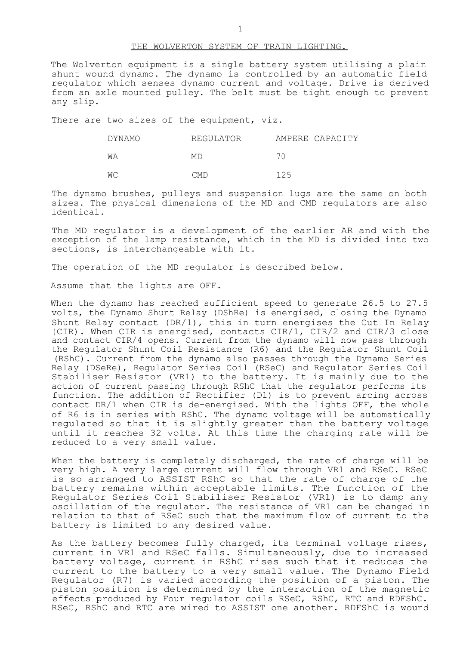#### THE WOLVERTON SYSTEM OF TRAIN LIGHTING.

The Wolverton equipment is a single battery system utilising a plain shunt wound dynamo. The dynamo is controlled by an automatic field regulator which senses dynamo current and voltage. Drive is derived from an axle mounted pulley. The belt must be tight enough to prevent any slip.

There are two sizes of the equipment, viz.

| DYNAMO | REGULATOR  | AMPERE CAPACITY |
|--------|------------|-----------------|
| WΑ     | МD         | 70              |
| WС     | <b>CMD</b> | 125             |

The dynamo brushes, pulleys and suspension lugs are the same on both sizes. The physical dimensions of the MD and CMD regulators are also identical.

The MD regulator is a development of the earlier AR and with the exception of the lamp resistance, which in the MD is divided into two sections, is interchangeable with it.

The operation of the MD regulator is described below.

Assume that the lights are OFF.

When the dynamo has reached sufficient speed to generate 26.5 to 27.5 volts, the Dynamo Shunt Relay (DShRe) is energised, closing the Dynamo Shunt Relay contact (DR/1), this in turn energises the Cut In Relay (CIR). When CIR is energised, contacts CIR/1, CIR/2 and CIR/3 close and contact CIR/4 opens. Current from the dynamo will now pass through the Regulator Shunt Coil Resistance (R6) and the Regulator Shunt Coil (RShC). Current from the dynamo also passes through the Dynamo Series Relay (DSeRe), Regulator Series Coil (RSeC) and Regulator Series Coil Stabiliser Resistor (VR1) to the battery. It is mainly due to the action of current passing through RShC that the regulator performs its function. The addition of Rectifier (D1) is to prevent arcing across contact DR/1 when CIR is de-energised. With the lights OFF, the whole of R6 is in series with RShC. The dynamo voltage will be automatically regulated so that it is slightly greater than the battery voltage until it reaches 32 volts. At this time the charging rate will be reduced to a very small value.

When the battery is completely discharged, the rate of charge will be very high. A very large current will flow through VR1 and RSeC. RSeC is so arranged to ASSIST RShC so that the rate of charge of the battery remains within acceptable limits. The function of the Regulator Series Coil Stabiliser Resistor (VR1) is to damp any oscillation of the regulator. The resistance of VR1 can be changed in relation to that of RSeC such that the maximum flow of current to the battery is limited to any desired value.

As the battery becomes fully charged, its terminal voltage rises, current in VR1 and RSeC falls. Simultaneously, due to increased battery voltage, current in RShC rises such that it reduces the current to the battery to a very small value. The Dynamo Field Regulator (R7) is varied according the position of a piston. The piston position is determined by the interaction of the magnetic effects produced by Four regulator coils RSeC, RShC, RTC and RDFShC. RSeC, RShC and RTC are wired to ASSIST one another. RDFShC is wound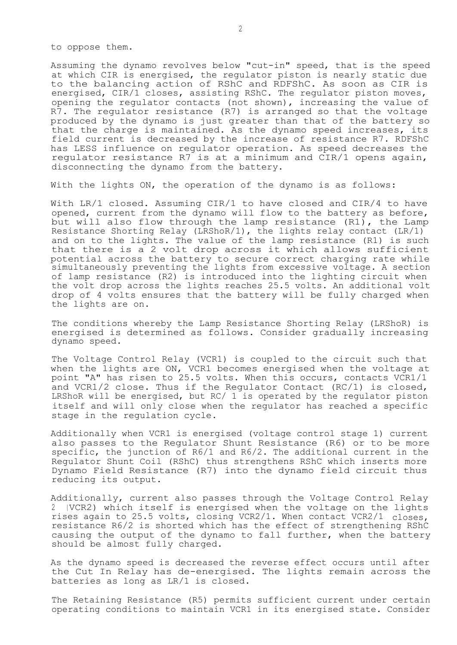to oppose them.

Assuming the dynamo revolves below "cut-in" speed, that is the speed at which CIR is energised, the regulator piston is nearly static due to the balancing action of RShC and RDFShC. As soon as CIR is energised, CIR/1 closes, assisting RShC. The regulator piston moves, opening the regulator contacts (not shown), increasing the value of R7. The regulator resistance (R7) is arranged so that the voltage produced by the dynamo is just greater than that of the battery so that the charge is maintained. As the dynamo speed increases, its field current is decreased by the increase of resistance R7. RDFShC has LESS influence on regulator operation. As speed decreases the regulator resistance R7 is at a minimum and CIR/1 opens again, disconnecting the dynamo from the battery.

With the lights ON, the operation of the dynamo is as follows:

With LR/1 closed. Assuming CIR/1 to have closed and CIR/4 to have opened, current from the dynamo will flow to the battery as before, but will also flow through the lamp resistance (R1), the Lamp Resistance Shorting Relay (LRShoR/1), the lights relay contact (LR/1) and on to the lights. The value of the lamp resistance (R1) is such that there is a 2 volt drop across it which allows sufficient potential across the battery to secure correct charging rate while simultaneously preventing the lights from excessive voltage. A section of lamp resistance (R2) is introduced into the lighting circuit when the volt drop across the lights reaches 25.5 volts. An additional volt drop of 4 volts ensures that the battery will be fully charged when the lights are on.

The conditions whereby the Lamp Resistance Shorting Relay (LRShoR) is energised is determined as follows. Consider gradually increasing dynamo speed.

The Voltage Control Relay (VCR1) is coupled to the circuit such that when the lights are ON, VCR1 becomes energised when the voltage at point "A" has risen to 25.5 volts. When this occurs, contacts VCR1/1 and VCR1/2 close. Thus if the Regulator Contact (RC/1) is closed, LRShoR will be energised, but RC/ 1 is operated by the regulator piston itself and will only close when the regulator has reached a specific stage in the regulation cycle.

Additionally when VCR1 is energised (voltage control stage 1) current also passes to the Regulator Shunt Resistance (R6) or to be more specific, the junction of R6/1 and R6/2. The additional current in the Regulator Shunt Coil (RShC) thus strengthens RShC which inserts more Dynamo Field Resistance (R7) into the dynamo field circuit thus reducing its output.

Additionally, current also passes through the Voltage Control Relay (VCR2) which itself is energised when the voltage on the lights rises again to 25.5 volts, closing VCR2/1. When contact VCR2/1 closes, resistance R6/2 is shorted which has the effect of strengthening RShC causing the output of the dynamo to fall further, when the battery should be almost fully charged.

As the dynamo speed is decreased the reverse effect occurs until after the Cut In Relay has de-energised. The lights remain across the batteries as long as LR/1 is closed.

The Retaining Resistance (R5) permits sufficient current under certain operating conditions to maintain VCR1 in its energised state. Consider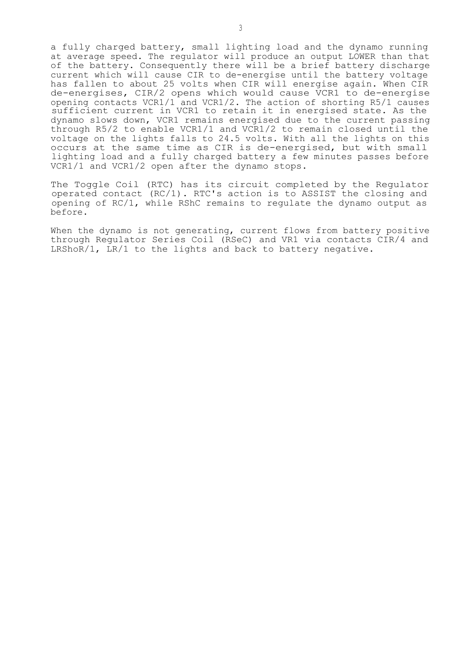a fully charged battery, small lighting load and the dynamo running at average speed. The regulator will produce an output LOWER than that of the battery. Consequently there will be a brief battery discharge current which will cause CIR to de-energise until the battery voltage has fallen to about 25 volts when CIR will energise again. When CIR de-energises, CIR/2 opens which would cause VCR1 to de-energise opening contacts VCR1/1 and VCR1/2. The action of shorting R5/1 causes sufficient current in VCR1 to retain it in energised state. As the dynamo slows down, VCR1 remains energised due to the current passing through R5/2 to enable VCR1/1 and VCR1/2 to remain closed until the voltage on the lights falls to 24.5 volts. With all the lights on this occurs at the same time as CIR is de-energised, but with small lighting load and a fully charged battery a few minutes passes before VCR1/1 and VCR1/2 open after the dynamo stops.

The Toggle Coil (RTC) has its circuit completed by the Regulator operated contact (RC/1). RTC's action is to ASSIST the closing and opening of RC/1, while RShC remains to regulate the dynamo output as before.

When the dynamo is not generating, current flows from battery positive through Regulator Series Coil (RSeC) and VR1 via contacts CIR/4 and LRShoR/1, LR/1 to the lights and back to battery negative.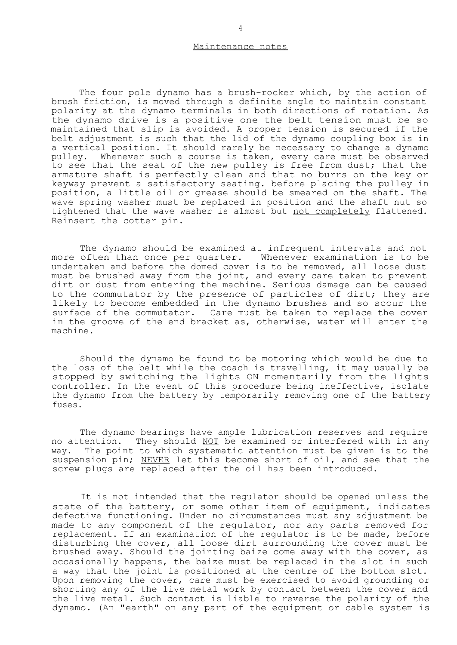#### Maintenance notes

The four pole dynamo has a brush-rocker which, by the action of brush friction, is moved through a definite angle to maintain constant polarity at the dynamo terminals in both directions of rotation. As the dynamo drive is a positive one the belt tension must be so maintained that slip is avoided. A proper tension is secured if the belt adjustment is such that the lid of the dynamo coupling box is in a vertical position. It should rarely be necessary to change a dynamo pulley. Whenever such a course is taken, every care must be observed to see that the seat of the new pulley is free from dust; that the armature shaft is perfectly clean and that no burrs on the key or keyway prevent a satisfactory seating. before placing the pulley in position, a little oil or grease should be smeared on the shaft. The wave spring washer must be replaced in position and the shaft nut so tightened that the wave washer is almost but not completely flattened. Reinsert the cotter pin.

The dynamo should be examined at infrequent intervals and not more often than once per quarter. Whenever examination is to be undertaken and before the domed cover is to be removed, all loose dust must be brushed away from the joint, and every care taken to prevent dirt or dust from entering the machine. Serious damage can be caused to the commutator by the presence of particles of dirt; they are likely to become embedded in the dynamo brushes and so scour the surface of the commutator. Care must be taken to replace the cover in the groove of the end bracket as, otherwise, water will enter the machine.

Should the dynamo be found to be motoring which would be due to the loss of the belt while the coach is travelling, it may usually be stopped by switching the lights ON momentarily from the lights controller. In the event of this procedure being ineffective, isolate the dynamo from the battery by temporarily removing one of the battery fuses.

The dynamo bearings have ample lubrication reserves and require no attention. They should NOT be examined or interfered with in any way. The point to which systematic attention must be given is to the suspension pin; NEVER let this become short of oil, and see that the screw plugs are replaced after the oil has been introduced.

It is not intended that the regulator should be opened unless the state of the battery, or some other item of equipment, indicates defective functioning. Under no circumstances must any adjustment be made to any component of the regulator, nor any parts removed for replacement. If an examination of the regulator is to be made, before disturbing the cover, all loose dirt surrounding the cover must be brushed away. Should the jointing baize come away with the cover, as occasionally happens, the baize must be replaced in the slot in such a way that the joint is positioned at the centre of the bottom slot. Upon removing the cover, care must be exercised to avoid grounding or shorting any of the live metal work by contact between the cover and the live metal. Such contact is liable to reverse the polarity of the dynamo. (An "earth" on any part of the equipment or cable system is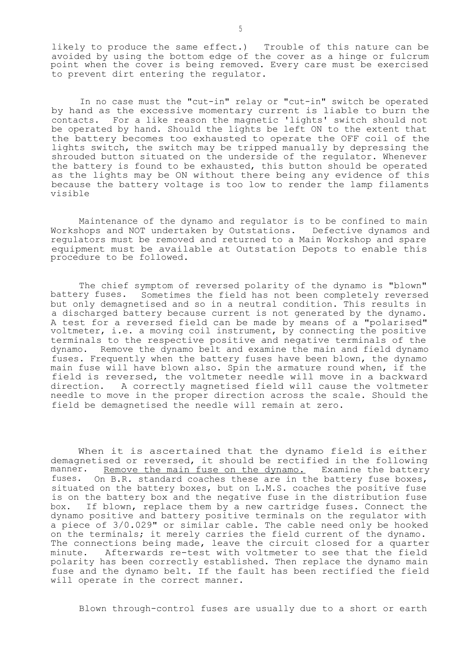likely to produce the same effect.) Trouble of this nature can be avoided by using the bottom edge of the cover as a hinge or fulcrum point when the cover is being removed. Every care must be exercised to prevent dirt entering the regulator.

In no case must the "cut-in" relay or "cut-in" switch be operated by hand as the excessive momentary current is liable to burn the contacts. For a like reason the magnetic 'lights' switch should not be operated by hand. Should the lights be left ON to the extent that the battery becomes too exhausted to operate the OFF coil of the lights switch, the switch may be tripped manually by depressing the shrouded button situated on the underside of the regulator. Whenever the battery is found to be exhausted, this button should be operated as the lights may be ON without there being any evidence of this because the battery voltage is too low to render the lamp filaments visible

Maintenance of the dynamo and regulator is to be confined to main Workshops and NOT undertaken by Outstations. Defective dynamos and regulators must be removed and returned to a Main Workshop and spare equipment must be available at Outstation Depots to enable this procedure to be followed.

The chief symptom of reversed polarity of the dynamo is "blown" battery fuses. Sometimes the field has not been completely reversed but only demagnetised and so in a neutral condition. This results in a discharged battery because current is not generated by the dynamo. A test for a reversed field can be made by means of a "polarised" voltmeter, i.e. a moving coil instrument, by connecting the positive terminals to the respective positive and negative terminals of the dynamo. Remove the dynamo belt and examine the main and field dynamo fuses. Frequently when the battery fuses have been blown, the dynamo main fuse will have blown also. Spin the armature round when, if the field is reversed, the voltmeter needle will move in a backward direction. A correctly magnetised field will cause the voltmeter needle to move in the proper direction across the scale. Should the field be demagnetised the needle will remain at zero.

When it is ascertained that the dynamo field is either demagnetised or reversed, it should be rectified in the following manner. Remove the main fuse on the dynamo. Examine the battery fuses. On B.R. standard coaches these are in the battery fuse boxes, situated on the battery boxes, but on L.M.S. coaches the positive fuse is on the battery box and the negative fuse in the distribution fuse box. If blown, replace them by a new cartridge fuses. Connect the dynamo positive and battery positive terminals on the regulator with a piece of 3/0.029" or similar cable. The cable need only be hooked on the terminals; it merely carries the field current of the dynamo. The connections being made, leave the circuit closed for a quarter minute. Afterwards re-test with voltmeter to see that the field polarity has been correctly established. Then replace the dynamo main fuse and the dynamo belt. If the fault has been rectified the field will operate in the correct manner.

Blown through-control fuses are usually due to a short or earth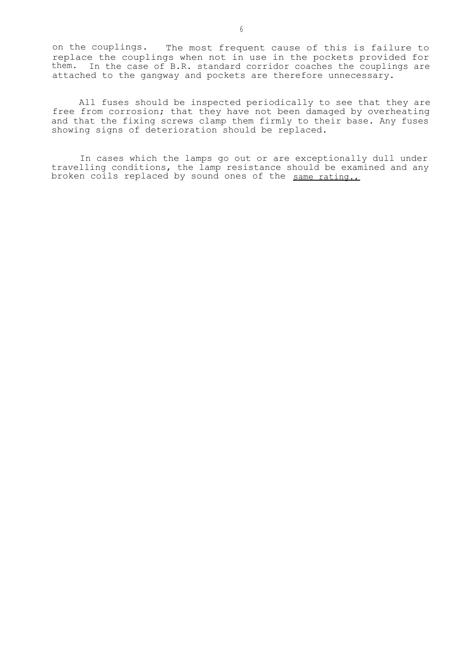on the couplings. The most frequent cause of this is failure to replace the couplings when not in use in the pockets provided for them. In the case of B.R. standard corridor coaches the couplings are attached to the gangway and pockets are therefore unnecessary.

All fuses should be inspected periodically to see that they are free from corrosion; that they have not been damaged by overheating and that the fixing screws clamp them firmly to their base. Any fuses showing signs of deterioration should be replaced.

In cases which the lamps go out or are exceptionally dull under travelling conditions, the lamp resistance should be examined and any broken coils replaced by sound ones of the <u>same rating.,</u>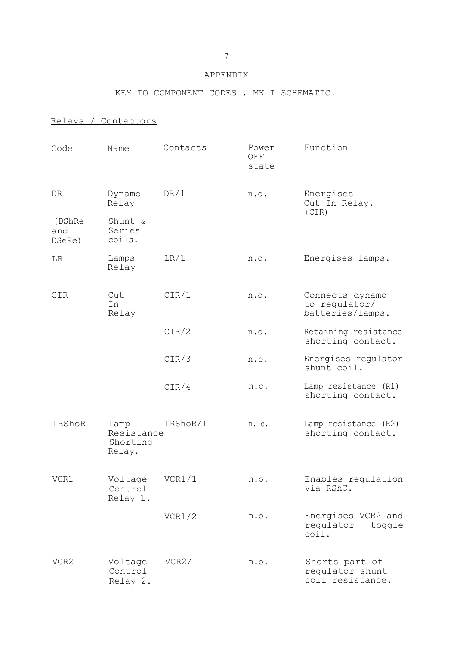#### APPENDIX

## KEY TO COMPONENT CODES , MK I SCHEMATIC.

## Relays / Contactors

| Code                    | Name                                     | Contacts | Power<br>OFF<br>state | Function                                              |  |
|-------------------------|------------------------------------------|----------|-----------------------|-------------------------------------------------------|--|
| DR                      | Dynamo<br>Relay                          | DR/1     | n.o.                  | Energises<br>Cut-In Relay.                            |  |
| (DShRe<br>and<br>DSeRe) | Shunt &<br>Series<br>coils.              |          |                       | (CIR)                                                 |  |
| LR                      | Lamps<br>Relay                           | LR/1     | n.o.                  | Energises lamps.                                      |  |
| CIR                     | Cut<br>In<br>Relay                       | CIR/1    | n.o.                  | Connects dynamo<br>to regulator/<br>batteries/lamps.  |  |
|                         |                                          | CIR/2    | n.o.                  | Retaining resistance<br>shorting contact.             |  |
|                         |                                          | CIR/3    | n.o.                  | Energises regulator<br>shunt coil.                    |  |
|                         |                                          | CIR/4    | n.c.                  | Lamp resistance (R1)<br>shorting contact.             |  |
| LRShoR                  | Lamp<br>Resistance<br>Shorting<br>Relay. | LRShoR/1 | n. c.                 | Lamp resistance (R2)<br>shorting contact.             |  |
| VCR1                    | Voltage<br>Control<br>Relay 1.           | VCR1/1   | n.o.                  | Enables regulation<br>via RShC.                       |  |
|                         |                                          | VCR1/2   | n.o.                  | Energises VCR2 and<br>regulator<br>toggle<br>coil.    |  |
| VCR2                    | Voltage<br>Control<br>Relay 2.           | VCR2/1   | n.o.                  | Shorts part of<br>regulator shunt<br>coil resistance. |  |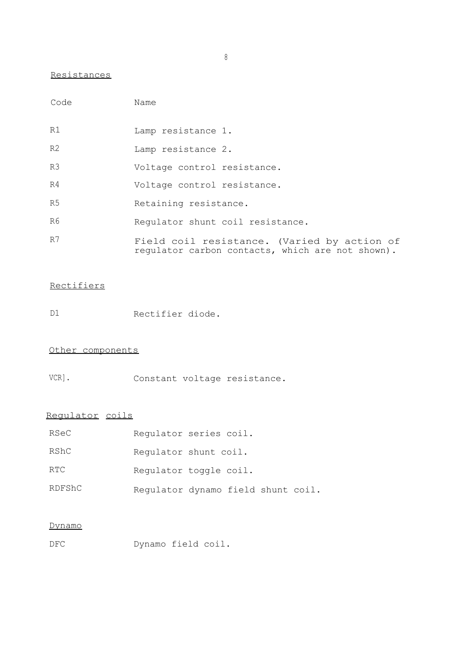## Resistances

| Code           | Name                                                                                            |
|----------------|-------------------------------------------------------------------------------------------------|
| R1             | Lamp resistance 1.                                                                              |
| R <sub>2</sub> | Lamp resistance 2.                                                                              |
| R <sub>3</sub> | Voltage control resistance.                                                                     |
| R4             | Voltage control resistance.                                                                     |
| R5             | Retaining resistance.                                                                           |
| R6             | Requlator shunt coil resistance.                                                                |
| R7             | Field coil resistance. (Varied by action of<br>regulator carbon contacts, which are not shown). |

## **Rectifiers**

D1 Rectifier diode.

## Other components

VCR]. Constant voltage resistance.

# Regulator coils

| RSeC   | Requlator series coil.             |  |  |
|--------|------------------------------------|--|--|
| RShC   | Requlator shunt coil.              |  |  |
| RTC    | Requlator toggle coil.             |  |  |
| RDFShC | Regulator dynamo field shunt coil. |  |  |

## Dynamo

DFC Dynamo field coil.